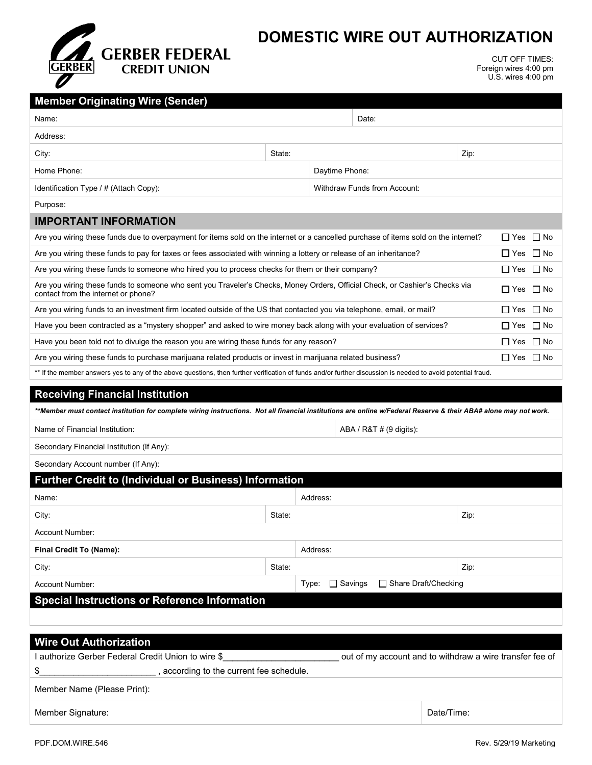

## **DOMESTIC WIRE OUT AUTHORIZATION**

CUT OFF TIMES: Foreign wires 4:00 pm U.S. wires 4:00 pm

| <b>Member Originating Wire (Sender)</b>                                                                                                                                             |        |                                                   |                                                          |      |  |  |
|-------------------------------------------------------------------------------------------------------------------------------------------------------------------------------------|--------|---------------------------------------------------|----------------------------------------------------------|------|--|--|
| Name:                                                                                                                                                                               |        |                                                   | Date:                                                    |      |  |  |
| Address:                                                                                                                                                                            |        |                                                   |                                                          |      |  |  |
| City:                                                                                                                                                                               | State: |                                                   |                                                          | Zip: |  |  |
| Home Phone:                                                                                                                                                                         |        | Daytime Phone:                                    |                                                          |      |  |  |
| Identification Type / # (Attach Copy):                                                                                                                                              |        | Withdraw Funds from Account:                      |                                                          |      |  |  |
| Purpose:                                                                                                                                                                            |        |                                                   |                                                          |      |  |  |
| <b>IMPORTANT INFORMATION</b>                                                                                                                                                        |        |                                                   |                                                          |      |  |  |
| Are you wiring these funds due to overpayment for items sold on the internet or a cancelled purchase of items sold on the internet?<br>$\Box$ Yes                                   |        |                                                   |                                                          |      |  |  |
| Are you wiring these funds to pay for taxes or fees associated with winning a lottery or release of an inheritance?                                                                 |        |                                                   |                                                          |      |  |  |
| Are you wiring these funds to someone who hired you to process checks for them or their company?<br>∐ Yes ∐ No                                                                      |        |                                                   |                                                          |      |  |  |
| Are you wiring these funds to someone who sent you Traveler's Checks, Money Orders, Official Check, or Cashier's Checks via<br>∐ Yes<br>l No<br>contact from the internet or phone? |        |                                                   |                                                          |      |  |  |
| Are you wiring funds to an investment firm located outside of the US that contacted you via telephone, email, or mail?                                                              |        |                                                   |                                                          |      |  |  |
| Have you been contracted as a "mystery shopper" and asked to wire money back along with your evaluation of services?                                                                |        |                                                   |                                                          |      |  |  |
| Have you been told not to divulge the reason you are wiring these funds for any reason?                                                                                             |        |                                                   |                                                          |      |  |  |
| Are you wiring these funds to purchase marijuana related products or invest in marijuana related business?<br>$\Box$ Yes $\Box$ No                                                  |        |                                                   |                                                          |      |  |  |
| ** If the member answers yes to any of the above questions, then further verification of funds and/or further discussion is needed to avoid potential fraud.                        |        |                                                   |                                                          |      |  |  |
| <b>Receiving Financial Institution</b>                                                                                                                                              |        |                                                   |                                                          |      |  |  |
| **Member must contact institution for complete wiring instructions. Not all financial institutions are online w/Federal Reserve & their ABA# alone may not work.                    |        |                                                   |                                                          |      |  |  |
| Name of Financial Institution:<br>ABA / R&T # (9 digits):                                                                                                                           |        |                                                   |                                                          |      |  |  |
| Secondary Financial Institution (If Any):                                                                                                                                           |        |                                                   |                                                          |      |  |  |
| Secondary Account number (If Any):                                                                                                                                                  |        |                                                   |                                                          |      |  |  |
| <b>Further Credit to (Individual or Business) Information</b>                                                                                                                       |        |                                                   |                                                          |      |  |  |
| Name:                                                                                                                                                                               |        | Address:                                          |                                                          |      |  |  |
| City:                                                                                                                                                                               | State: |                                                   |                                                          | Zip: |  |  |
| Account Number:                                                                                                                                                                     |        |                                                   |                                                          |      |  |  |
| Final Credit To (Name):                                                                                                                                                             |        | Address:                                          |                                                          |      |  |  |
| City:                                                                                                                                                                               | State: |                                                   |                                                          | Zip: |  |  |
| <b>Account Number:</b>                                                                                                                                                              |        | □ Share Draft/Checking<br>$\Box$ Savings<br>Type: |                                                          |      |  |  |
| <b>Special Instructions or Reference Information</b>                                                                                                                                |        |                                                   |                                                          |      |  |  |
|                                                                                                                                                                                     |        |                                                   |                                                          |      |  |  |
|                                                                                                                                                                                     |        |                                                   |                                                          |      |  |  |
| <b>Wire Out Authorization</b><br>I authorize Gerber Federal Credit Union to wire \$                                                                                                 |        |                                                   |                                                          |      |  |  |
|                                                                                                                                                                                     |        |                                                   | out of my account and to withdraw a wire transfer fee of |      |  |  |

\$\_\_\_\_\_\_\_\_\_\_\_\_\_\_\_\_\_\_\_\_\_\_\_\_ , according to the current fee schedule.

Member Name (Please Print):

Member Signature: Date/Time: